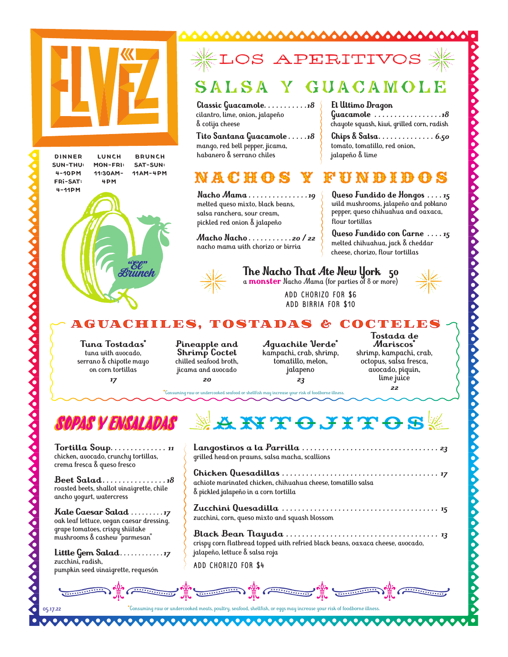





# S APERITI

00000000000

### ALSA GUACAMOLE

**Classic Guacamole** *. . . . . . . . . . 18* cilantro, lime, onion, jalapeño & cotija cheese

**Tito Santana Guacamole** *. . . . 18*  mango, red bell pepper, jicama, habanero & serrano chiles

## n a c h g

**Nacho Mama** *. . . . . . . . . . . . . . 19* melted queso mixto, black beans, salsa ranchera, sour cream, pickled red onion & jalapeño

**Macho Nacho** *. . . . . . . . . . 20 / 22* nacho mama with chorizo or birria



## **The Nacho That Ate New York 50**

a **monster** Nacho Mama (for parties of 8 or more)

flour tortillas

jalapeño & lime

**El Ultimo Dragon** 

tomato, tomatillo, red onion,

ADD CHORIZO FOR \$6 ADD BIRRIA FOR \$10

AGUACH I LES , TOSTADAS & COCTELES

**Tuna Tostadas\*** tuna with avocado, serrano & chipotle mayo on corn tortillas *17*

**Pineapple and Shrimp Coctel** chilled seafood broth, jicama and avocado *20*

**Aguachile Verde\*** kampachi, crab, shrimp, tomatillo, melon, jalapeno *23*

**Tostada de Mariscos\*** shrimp, kampachi, crab, octopus, salsa fresca, avocado, piquin, lime juice *22*

**Queso Fundido de Hongos** *. . . 15* wild mushrooms, jalapeño and poblano pepper, queso chihuahua and oaxaca,

**Guacamole** *. . . . . . . . . . . . . . . . 18* chayote squash, kiwi, grilled corn, radish **Chips & Salsa** *. . . . . . . . . . . . . . 6.50*

**Queso Fundido con Carne** *. . . 15*  melted chihuahua, jack & cheddar cheese, chorizo, flour tortillas

**\***Consuming raw or undercooked seafood or shellfish may increase your risk of foodborne illness.

## SOPAS Y ENSALADAS

**Tortilla Soup** *. . . . . . . . . . . . . . <sup>11</sup>*chicken, avocado, crunchy tortillas, crema fresca & queso fresco

**Beet Salad** *. . . . . . . . . . . . . . . 18*  roasted beets, shallot vinaigrette, chile ancho yogurt, watercress

**Kale Caesar Salad** *. . . . . . . . 17*  oak leaf lettuce, vegan caesar dressing, grape tomatoes, crispy shiitake mushrooms & cashew "parmesan"

**Little Gem Salad** *. . . . . . . . . . . 17*  zucchini, radish, pumpkin seed vinaigrette, requesón

## **AKTOJITOS**

**Langostinos a la Parrilla** *. . . . . . . . . . . . . . . . . . . . . . . . . . . . . . . . . . 23* grilled head-on prawns, salsa macha, scallions

**Chicken Quesadillas** *. . . . . . . . . . . . . . . . . . . . . . . . . . . . . . . . . . . . . . . 17* achiote marinated chicken, chihuahua cheese, tomatillo salsa & pickled jalapeño in a corn tortilla

**Zucchini Quesadilla** *. . . . . . . . . . . . . . . . . . . . . . . . . . . . . . . . . . . . . . . 15* zucchini, corn, queso mixto and squash blossom

**Black Bean Tlayuda** *. . . . . . . . . . . . . . . . . . . . . . . . . . . . . . . . . . . . . . 13* crispy corn flatbread topped with refried black beans, oaxaca cheese, avocado, jalapeño, lettuce & salsa roja

ADD CHORIZO FOR \$4